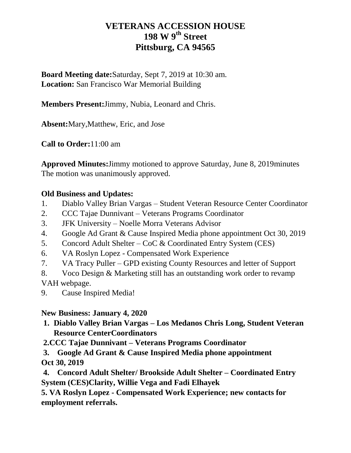# **VETERANS ACCESSION HOUSE 198 W 9th Street Pittsburg, CA 94565**

**Board Meeting date:**Saturday, Sept 7, 2019 at 10:30 am. **Location:** San Francisco War Memorial Building

**Members Present:**Jimmy, Nubia, Leonard and Chris.

**Absent:**Mary,Matthew, Eric, and Jose

**Call to Order:**11:00 am

**Approved Minutes:**Jimmy motioned to approve Saturday, June 8, 2019minutes The motion was unanimously approved.

## **Old Business and Updates:**

- 1. Diablo Valley Brian Vargas Student Veteran Resource Center Coordinator
- 2. CCC Tajae Dunnivant Veterans Programs Coordinator
- 3. JFK University Noelle Morra Veterans Advisor
- 4. Google Ad Grant & Cause Inspired Media phone appointment Oct 30, 2019
- 5. Concord Adult Shelter CoC & Coordinated Entry System (CES)
- 6. VA Roslyn Lopez Compensated Work Experience
- 7. VA Tracy Puller GPD existing County Resources and letter of Support
- 8. Voco Design & Marketing still has an outstanding work order to revamp

VAH webpage.

9. Cause Inspired Media!

## **New Business: January 4, 2020**

**1. Diablo Valley Brian Vargas – Los Medanos Chris Long, Student Veteran Resource CenterCoordinators**

**2.CCC Tajae Dunnivant – Veterans Programs Coordinator** 

**3. Google Ad Grant & Cause Inspired Media phone appointment Oct 30, 2019**

**4. Concord Adult Shelter/ Brookside Adult Shelter – Coordinated Entry System (CES)Clarity, Willie Vega and Fadi Elhayek**

**5. VA Roslyn Lopez - Compensated Work Experience; new contacts for employment referrals.**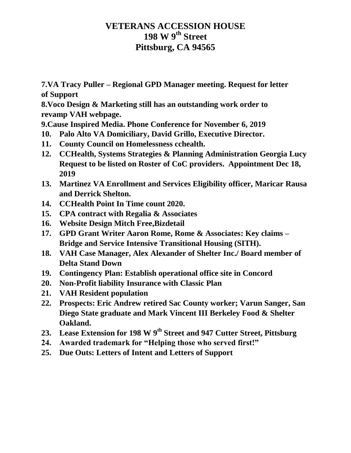## **VETERANS ACCESSION HOUSE 198 W 9th Street Pittsburg, CA 94565**

**7.VA Tracy Puller – Regional GPD Manager meeting. Request for letter of Support**

**8.Voco Design & Marketing still has an outstanding work order to revamp VAH webpage.**

**9.Cause Inspired Media. Phone Conference for November 6, 2019**

- **10. Palo Alto VA Domiciliary, David Grillo, Executive Director.**
- **11. County Council on Homelessness cchealth.**
- **12. CCHealth, Systems Strategies & Planning Administration Georgia Lucy Request to be listed on Roster of CoC providers. Appointment Dec 18, 2019**
- **13. Martinez VA Enrollment and Services Eligibility officer, Maricar Rausa and Derrick Shelton.**
- **14. CCHealth Point In Time count 2020.**
- **15. CPA contract with Regalia & Associates**
- **16. Website Design Mitch Free,Bizdetail**
- **17. GPD Grant Writer Aaron Rome, Rome & Associates: Key claims – Bridge and Service Intensive Transitional Housing (SITH).**
- **18. VAH Case Manager, Alex Alexander of Shelter Inc./ Board member of Delta Stand Down**
- **19. Contingency Plan: Establish operational office site in Concord**
- **20. Non-Profit liability Insurance with Classic Plan**
- **21. VAH Resident population**
- **22. Prospects: Eric Andrew retired Sac County worker; Varun Sanger, San Diego State graduate and Mark Vincent III Berkeley Food & Shelter Oakland.**
- **23. Lease Extension for 198 W 9th Street and 947 Cutter Street, Pittsburg**
- **24. Awarded trademark for "Helping those who served first!"**
- **25. Due Outs: Letters of Intent and Letters of Support**